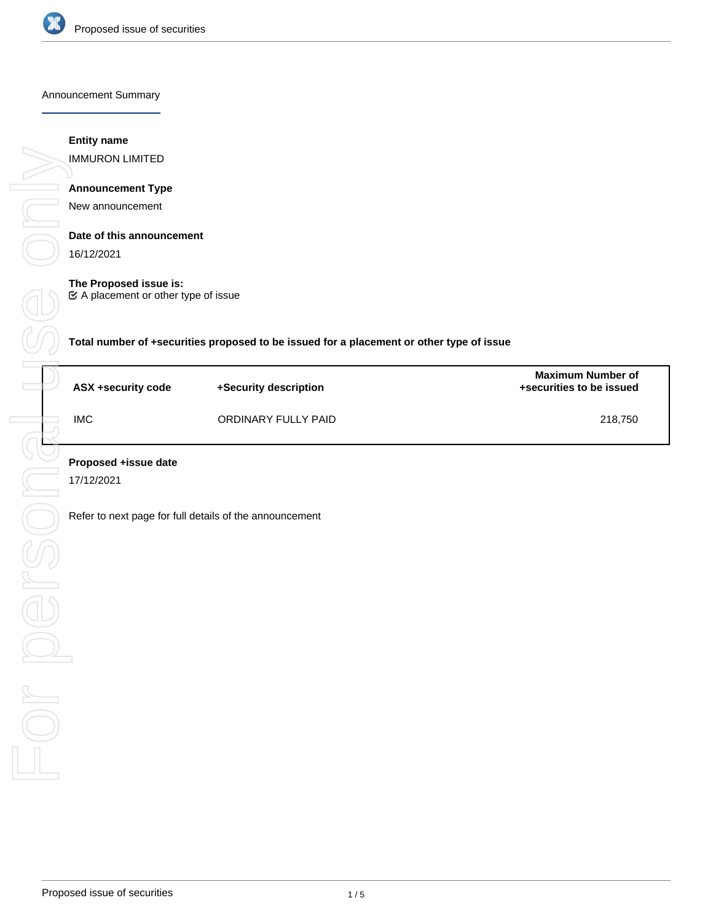

Announcement Summary

## **Entity name**

IMMURON LIMITED

# **Announcement Type**

New announcement

## **Date of this announcement**

16/12/2021

## **The Proposed issue is:**

A placement or other type of issue

**Total number of +securities proposed to be issued for a placement or other type of issue**

| ASX +security code | +Security description | <b>Maximum Number of</b><br>+securities to be issued |
|--------------------|-----------------------|------------------------------------------------------|
| <b>IMC</b>         | ORDINARY FULLY PAID   | 218,750                                              |

17/12/2021

Refer to next page for full details of the announcement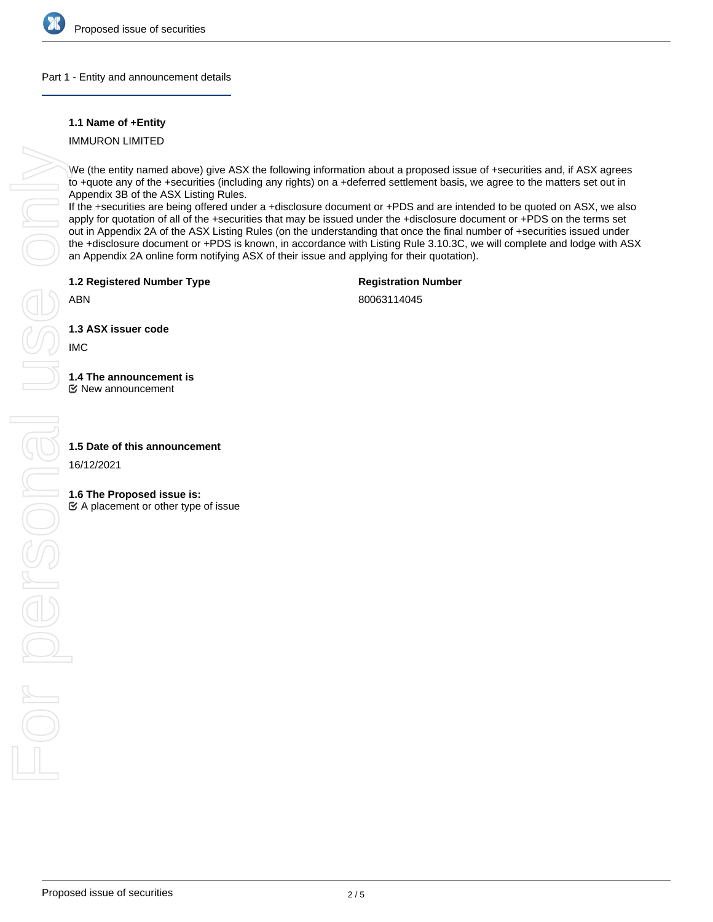

### Part 1 - Entity and announcement details

## **1.1 Name of +Entity**

IMMURON LIMITED

We (the entity named above) give ASX the following information about a proposed issue of +securities and, if ASX agrees to +quote any of the +securities (including any rights) on a +deferred settlement basis, we agree to the matters set out in Appendix 3B of the ASX Listing Rules.

If the +securities are being offered under a +disclosure document or +PDS and are intended to be quoted on ASX, we also apply for quotation of all of the +securities that may be issued under the +disclosure document or +PDS on the terms set out in Appendix 2A of the ASX Listing Rules (on the understanding that once the final number of +securities issued under the +disclosure document or +PDS is known, in accordance with Listing Rule 3.10.3C, we will complete and lodge with ASX an Appendix 2A online form notifying ASX of their issue and applying for their quotation).

**1.2 Registered Number Type**

**Registration Number**

ABN

80063114045

**1.3 ASX issuer code**

IMC

**1.4 The announcement is**

New announcement

16/12/2021

## **1.6 The Proposed issue is:**

 $\mathfrak{C}$  A placement or other type of issue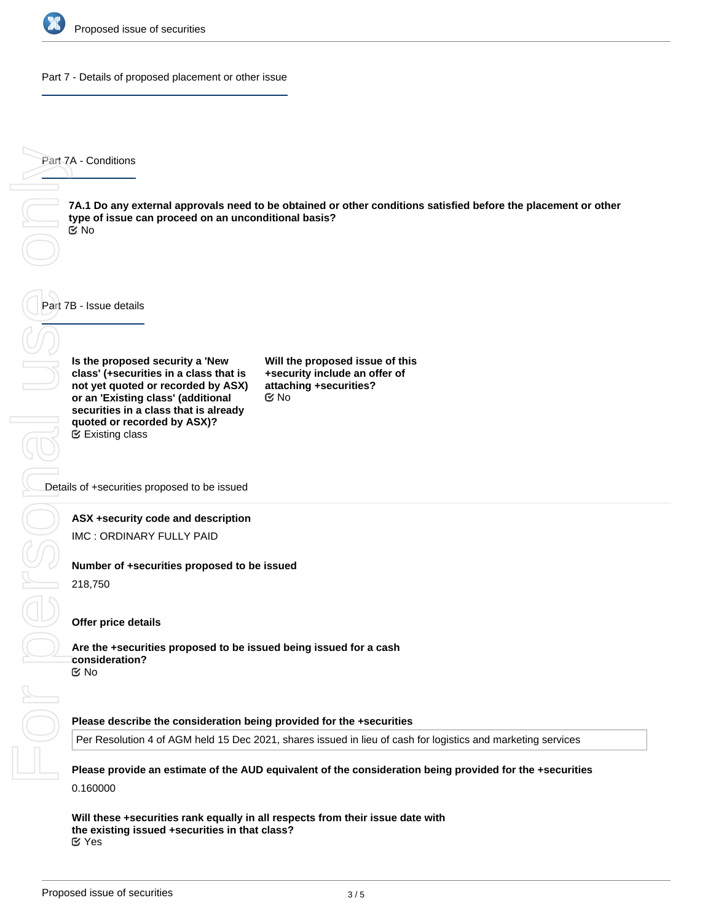

Part 7 - Details of proposed placement or other issue

Part 7A - Conditions

**7A.1 Do any external approvals need to be obtained or other conditions satisfied before the placement or other type of issue can proceed on an unconditional basis?** No

Part 7B - Issue details

**Is the proposed security a 'New class' (+securities in a class that is not yet quoted or recorded by ASX) or an 'Existing class' (additional securities in a class that is already quoted or recorded by ASX)?** Existing class

**Will the proposed issue of this +security include an offer of attaching +securities?** No

Details of +securities proposed to be issued

### **ASX +security code and description**

IMC : ORDINARY FULLY PAID

### **Number of +securities proposed to be issued**

218,750

#### **Offer price details**

**Are the +securities proposed to be issued being issued for a cash consideration?** No

#### **Please describe the consideration being provided for the +securities**

Per Resolution 4 of AGM held 15 Dec 2021, shares issued in lieu of cash for logistics and marketing services

**Please provide an estimate of the AUD equivalent of the consideration being provided for the +securities** 0.160000

**Will these +securities rank equally in all respects from their issue date with the existing issued +securities in that class?** Yes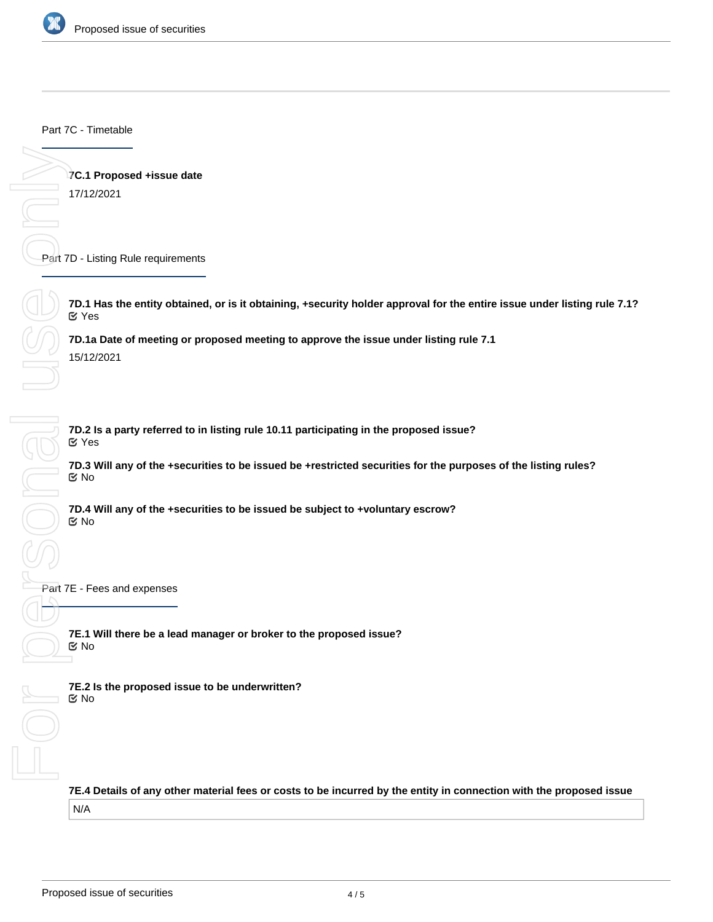

Part 7C - Timetable

**7C.1 Proposed +issue date** 17/12/2021

Part 7D - Listing Rule requirements

**7D.1 Has the entity obtained, or is it obtaining, +security holder approval for the entire issue under listing rule 7.1?** Yes

**7D.1a Date of meeting or proposed meeting to approve the issue under listing rule 7.1** 15/12/2021

**7D.2 Is a party referred to in listing rule 10.11 participating in the proposed issue?** Yes

**7D.3 Will any of the +securities to be issued be +restricted securities for the purposes of the listing rules?** No

**7D.4 Will any of the +securities to be issued be subject to +voluntary escrow?** No

Part 7E - Fees and expenses

**7E.1 Will there be a lead manager or broker to the proposed issue?** No

**7E.2 Is the proposed issue to be underwritten?** No

**7E.4 Details of any other material fees or costs to be incurred by the entity in connection with the proposed issue** N/A